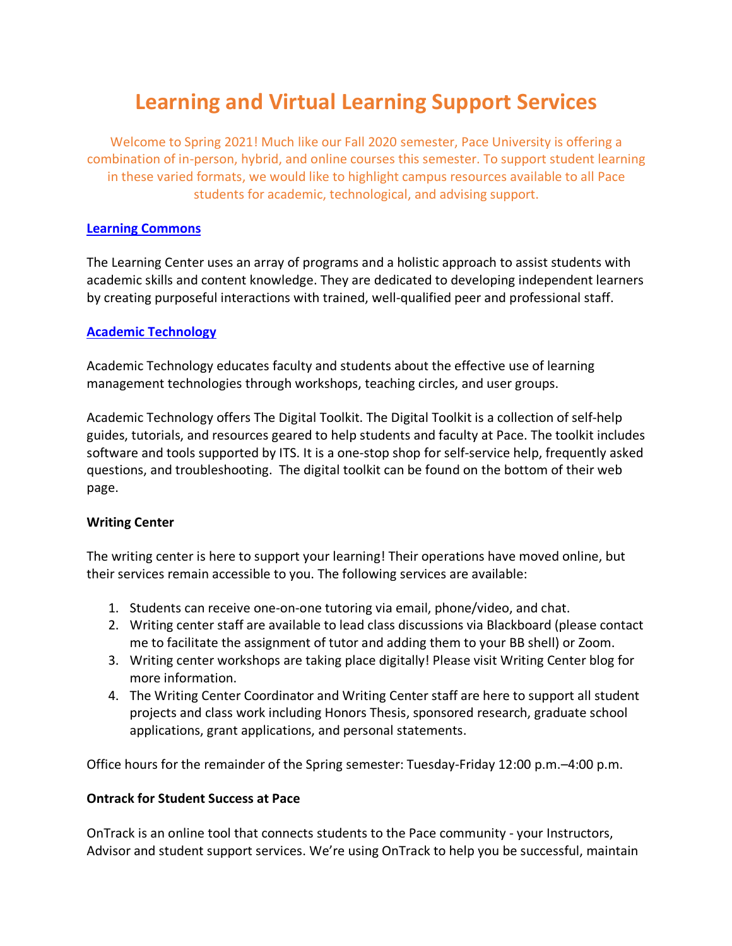# **Learning and Virtual Learning Support Services**

Welcome to Spring 2021! Much like our Fall 2020 semester, Pace University is offering a combination of in-person, hybrid, and online courses this semester. To support student learning in these varied formats, we would like to highlight campus resources available to all Pace students for academic, technological, and advising support.

#### **Learning Commons**

The Learning Center uses an array of programs and a holistic approach to assist students with academic skills and content knowledge. They are dedicated to developing independent learners by creating purposeful interactions with trained, well-qualified peer and professional staff.

### **Academic Technology**

Academic Technology educates faculty and students about the effective use of learning management technologies through workshops, teaching circles, and user groups.

Academic Technology offers The Digital Toolkit. The Digital Toolkit is a collection of self-help guides, tutorials, and resources geared to help students and faculty at Pace. The toolkit includes software and tools supported by ITS. It is a one-stop shop for self-service help, frequently asked questions, and troubleshooting. The digital toolkit can be found on the bottom of their web page.

### **Writing Center**

The writing center is here to support your learning! Their operations have moved online, but their services remain accessible to you. The following services are available:

- 1. Students can receive one-on-one tutoring via email, phone/video, and chat.
- 2. Writing center staff are available to lead class discussions via Blackboard (please contact me to facilitate the assignment of tutor and adding them to your BB shell) or Zoom.
- 3. Writing center workshops are taking place digitally! Please visit Writing Center blog for more information.
- 4. The Writing Center Coordinator and Writing Center staff are here to support all student projects and class work including Honors Thesis, sponsored research, graduate school applications, grant applications, and personal statements.

Office hours for the remainder of the Spring semester: Tuesday-Friday 12:00 p.m.–4:00 p.m.

### **Ontrack for Student Success at Pace**

OnTrack is an online tool that connects students to the Pace community - your Instructors, Advisor and student support services. We're using OnTrack to help you be successful, maintain